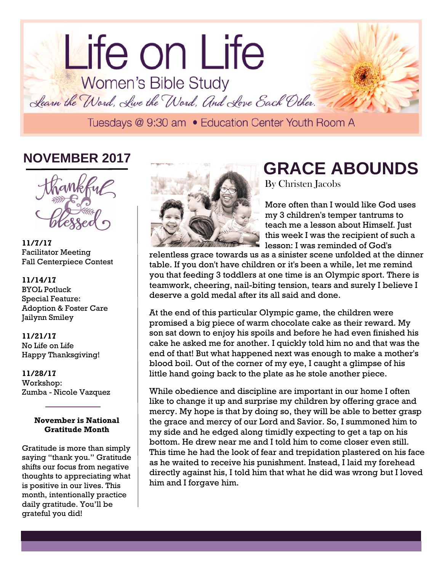# lorem in the contract of the contract of the contract of the contract of the contract of the contract of the contract of the contract of the contract of the contract of the contract of the contract of the contract of the c Life on Life<br>Women's Bible Study Learn the Word, Live the Word, And Love Each Other.

# **NOVEMBER 2017**



**11/7/17** Facilitator Meeting Fall Centerpiece Contest

## **11/14/17**

BYOL Potluck Special Feature: Adoption & Foster Care Jailynn Smiley

#### **11/21/17** No Life on Life

Happy Thanksgiving!

## **11/28/17**

Workshop: Zumba - Nicole Vazquez

## **November is National Gratitude Month**

Gratitude is more than simply saying "thank you." Gratitude shifts our focus from negative thoughts to appreciating what is positive in our lives. This month, intentionally practice daily gratitude. You'll be grateful you did!



## **GRACE ABOUNDS** By Christen Jacobs

More often than I would like God uses my 3 children's temper tantrums to teach me a lesson about Himself. Just this week I was the recipient of such a lesson; I was reminded of God's

relentless grace towards us as a sinister scene unfolded at the dinner table. If you don't have children or it's been a while, let me remind you that feeding 3 toddlers at one time is an Olympic sport. There is teamwork, cheering, nail-biting tension, tears and surely I believe I deserve a gold medal after its all said and done.

At the end of this particular Olympic game, the children were promised a big piece of warm chocolate cake as their reward. My son sat down to enjoy his spoils and before he had even finished his cake he asked me for another. I quickly told him no and that was the end of that! But what happened next was enough to make a mother's blood boil. Out of the corner of my eye, I caught a glimpse of his little hand going back to the plate as he stole another piece.

While obedience and discipline are important in our home I often like to change it up and surprise my children by offering grace and mercy. My hope is that by doing so, they will be able to better grasp the grace and mercy of our Lord and Savior. So, I summoned him to my side and he edged along timidly expecting to get a tap on his bottom. He drew near me and I told him to come closer even still. This time he had the look of fear and trepidation plastered on his face as he waited to receive his punishment. Instead, I laid my forehead directly against his, I told him that what he did was wrong but I loved him and I forgave him.